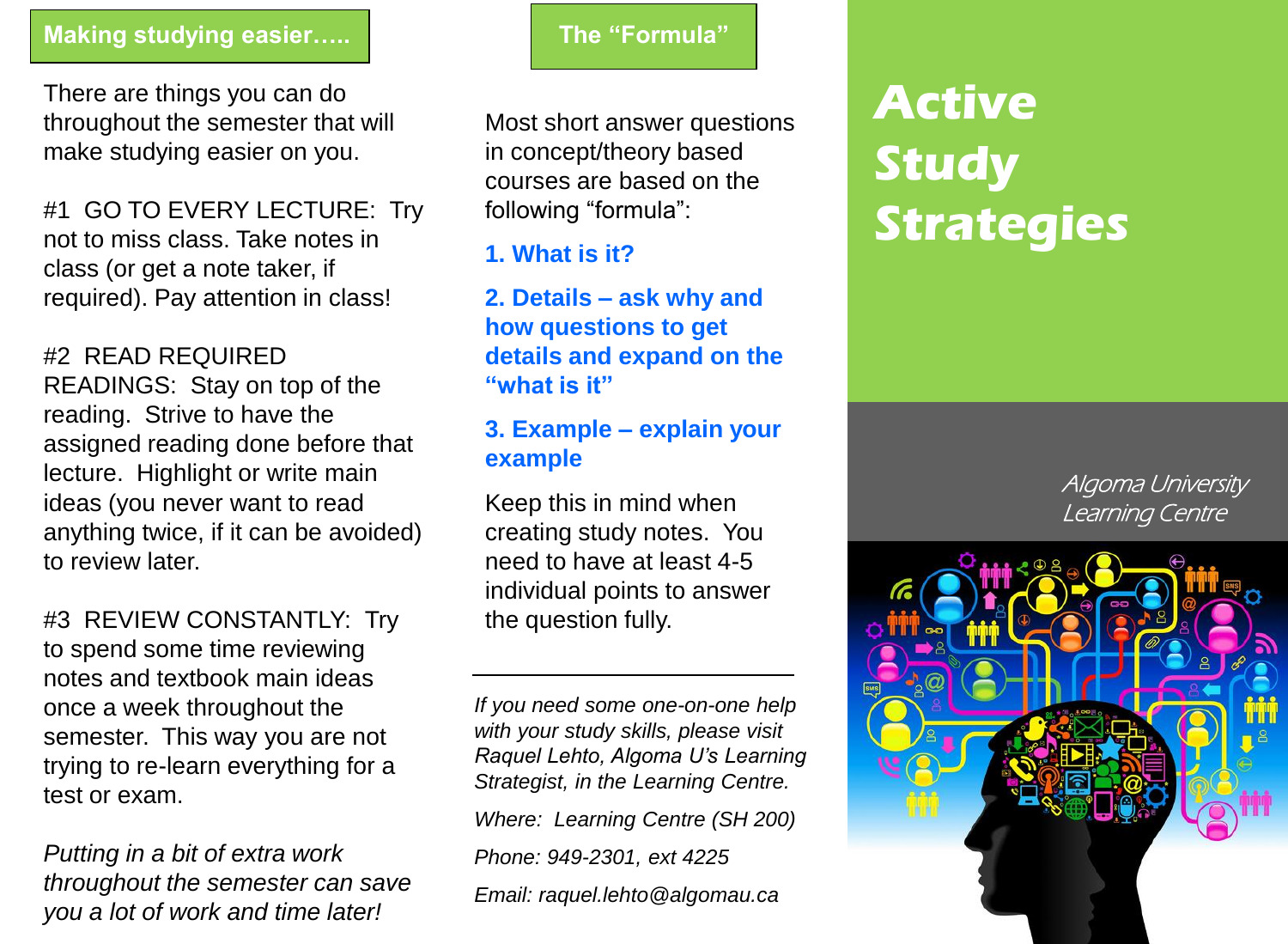#### **Making studying easier…..**

There are things you can do throughout the semester that will make studying easier on you.

#1 GO TO EVERY LECTURE: Try not to miss class. Take notes in class (or get a note taker, if required). Pay attention in class!

#2 READ REQUIRED READINGS: Stay on top of the reading. Strive to have the assigned reading done before that lecture. Highlight or write main ideas (you never want to read anything twice, if it can be avoided) to review later.

#3 REVIEW CONSTANTLY: Try to spend some time reviewing notes and textbook main ideas once a week throughout the semester. This way you are not trying to re-learn everything for a test or exam.

*Putting in a bit of extra work throughout the semester can save you a lot of work and time later!*

#### **The "Formula"**

Most short answer questions in concept/theory based courses are based on the following "formula":

# **1. What is it?**

**2. Details – ask why and how questions to get details and expand on the "what is it"**

### **3. Example – explain your example**

Keep this in mind when creating study notes. You need to have at least 4-5 individual points to answer the question fully.

*If you need some one-on-one help with your study skills, please visit Raquel Lehto, Algoma U's Learning Strategist, in the Learning Centre. Where: Learning Centre (SH 200) Phone: 949-2301, ext 4225 Email: raquel.lehto@algomau.ca*

# **Active Study Strategies**

Algoma University Learning Centre